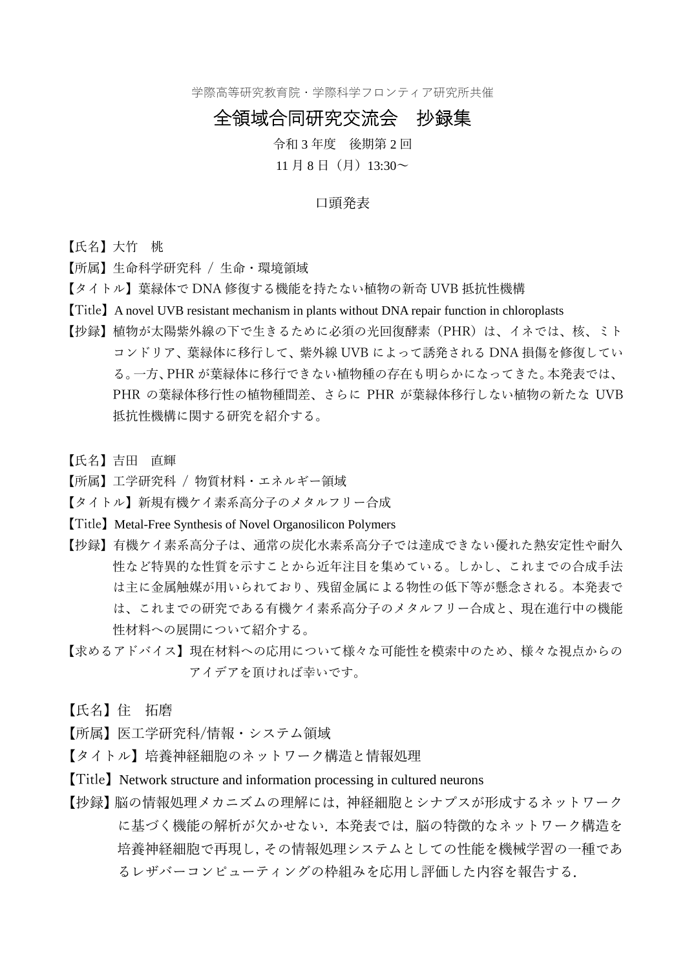学際高等研究教育院・学際科学フロンティア研究所共催

## 全領域合同研究交流会 抄録集

令和 3 年度 後期第 2 回

## 11 月 8 日(月) 13:30 $\sim$

## 口頭発表

【氏名】大竹 桃

【所属】生命科学研究科 / 生命・環境領域

- 【タイトル】葉緑体で DNA 修復する機能を持たない植物の新奇 UVB 抵抗性機構
- 【Title】A novel UVB resistant mechanism in plants without DNA repair function in chloroplasts
- 【抄録】植物が太陽紫外線の下で生きるために必須の光回復酵素(PHR)は、イネでは、核、ミト コンドリア、葉緑体に移行して、紫外線 UVB によって誘発される DNA 損傷を修復してい る。一方、PHR が葉緑体に移行できない植物種の存在も明らかになってきた。本発表では、 PHR の葉緑体移行性の植物種間差、さらに PHR が葉緑体移行しない植物の新たな UVB 抵抗性機構に関する研究を紹介する。
- 【氏名】吉田 直輝
- 【所属】工学研究科 / 物質材料・エネルギー領域
- 【タイトル】新規有機ケイ素系高分子のメタルフリー合成
- 【Title】Metal-Free Synthesis of Novel Organosilicon Polymers
- 【抄録】有機ケイ素系高分子は、通常の炭化水素系高分子では達成できない優れた熱安定性や耐久 性など特異的な性質を示すことから近年注目を集めている。しかし、これまでの合成手法 は主に金属触媒が用いられており、残留金属による物性の低下等が懸念される。本発表で は、これまでの研究である有機ケイ素系高分子のメタルフリー合成と、現在進行中の機能 性材料への展開について紹介する。
- 【求めるアドバイス】現在材料への応用について様々な可能性を模索中のため、様々な視点からの アイデアを頂ければ幸いです。
- 【氏名】住 拓磨
- 【所属】医工学研究科/情報・システム領域
- 【タイトル】培養神経細胞のネットワーク構造と情報処理
- 【Title】Network structure and information processing in cultured neurons
- 【抄録】脳の情報処理メカニズムの理解には,神経細胞とシナプスが形成するネットワーク に基づく機能の解析が欠かせない. 本発表では、脳の特徴的なネットワーク構造を 培養神経細胞で再現し,その情報処理システムとしての性能を機械学習の一種であ るレザバーコンピューティングの枠組みを応用し評価した内容を報告する.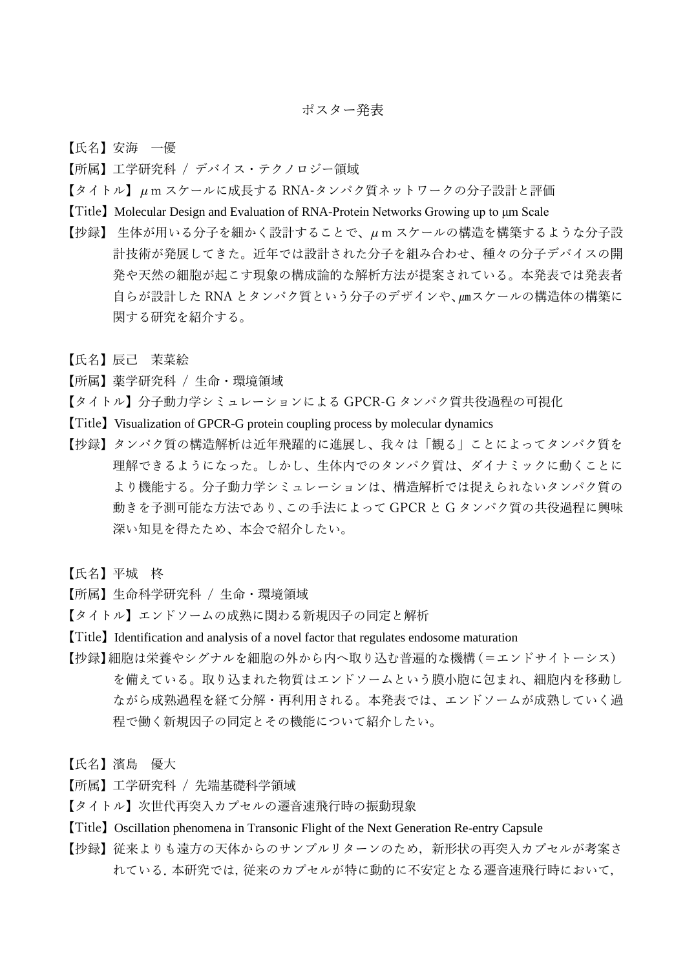【氏名】安海 一優

- 【所属】工学研究科 / デバイス・テクノロジー領域
- 【タイトル】μm スケールに成長する RNA-タンパク質ネットワークの分子設計と評価
- 【Title】Molecular Design and Evaluation of RNA-Protein Networks Growing up to μm Scale
- 【抄録】 生体が用いる分子を細かく設計することで、μm スケールの構造を構築するような分子設 計技術が発展してきた。近年では設計された分子を組み合わせ、種々の分子デバイスの開 発や天然の細胞が起こす現象の構成論的な解析方法が提案されている。本発表では発表者 自らが設計した RNA とタンパク質という分子のデザインや、㎛スケールの構造体の構築に 関する研究を紹介する。
- 【氏名】辰己 茉菜絵
- 【所属】薬学研究科 / 生命・環境領域
- 【タイトル】分子動力学シミュレーションによる GPCR-G タンパク質共役過程の可視化
- 【Title】Visualization of GPCR-G protein coupling process by molecular dynamics
- 【抄録】タンパク質の構造解析は近年飛躍的に進展し、我々は「観る」ことによってタンパク質を 理解できるようになった。しかし、生体内でのタンパク質は、ダイナミックに動くことに より機能する。分子動力学シミュレーションは、構造解析では捉えられないタンパク質の 動きを予測可能な方法であり、この手法によって GPCR と G タンパク質の共役過程に興味 深い知見を得たため、本会で紹介したい。
- 【氏名】平城 柊
- 【所属】生命科学研究科 / 生命・環境領域
- 【タイトル】エンドソームの成熟に関わる新規因子の同定と解析
- 【Title】Identification and analysis of a novel factor that regulates endosome maturation
- 【抄録】細胞は栄養やシグナルを細胞の外から内へ取り込む普遍的な機構(=エンドサイトーシス) を備えている。取り込まれた物質はエンドソームという膜小胞に包まれ、細胞内を移動し ながら成熟過程を経て分解・再利用される。本発表では、エンドソームが成熟していく過 程で働く新規因子の同定とその機能について紹介したい。
- 【氏名】濱島 優大
- 【所属】工学研究科 / 先端基礎科学領域
- 【タイトル】次世代再突入カプセルの遷音速飛行時の振動現象
- 【Title】Oscillation phenomena in Transonic Flight of the Next Generation Re-entry Capsule
- 【抄録】従来よりも遠方の天体からのサンプルリターンのため、新形状の再突入カプセルが考案さ れている.本研究では,従来のカプセルが特に動的に不安定となる遷音速飛行時において,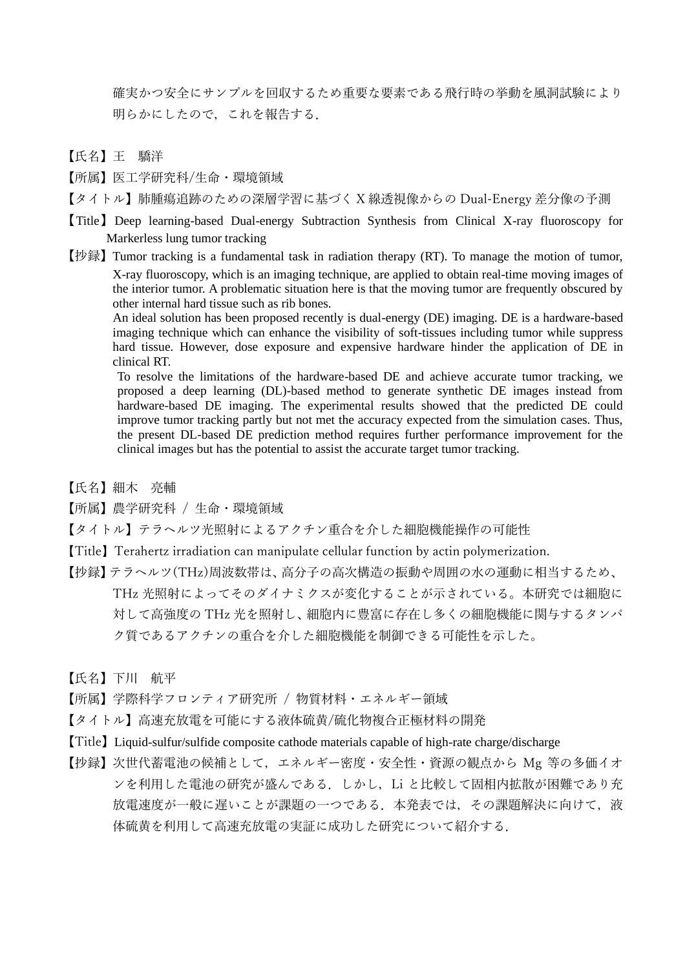確実かつ安全にサンプルを回収するため重要な要素である飛行時の挙動を風洞試験により 明らかにしたので,これを報告する.

- 【氏名】王 驕洋
- 【所属】医工学研究科/生命・環境領域
- 【タイトル】肺腫瘍追跡のための深層学習に基づく X 線透視像からの Dual-Energy 差分像の予測
- 【Title】Deep learning-based Dual-energy Subtraction Synthesis from Clinical X-ray fluoroscopy for Markerless lung tumor tracking
- 【抄録】Tumor tracking is a fundamental task in radiation therapy (RT). To manage the motion of tumor, X-ray fluoroscopy, which is an imaging technique, are applied to obtain real-time moving images of the interior tumor. A problematic situation here is that the moving tumor are frequently obscured by other internal hard tissue such as rib bones.

 An ideal solution has been proposed recently is dual-energy (DE) imaging. DE is a hardware-based imaging technique which can enhance the visibility of soft-tissues including tumor while suppress hard tissue. However, dose exposure and expensive hardware hinder the application of DE in clinical RT.

To resolve the limitations of the hardware-based DE and achieve accurate tumor tracking, we proposed a deep learning (DL)-based method to generate synthetic DE images instead from hardware-based DE imaging. The experimental results showed that the predicted DE could improve tumor tracking partly but not met the accuracy expected from the simulation cases. Thus, the present DL-based DE prediction method requires further performance improvement for the clinical images but has the potential to assist the accurate target tumor tracking.

【氏名】細木 亮輔

【所属】農学研究科 / 生命・環境領域

- 【タイトル】テラヘルツ光照射によるアクチン重合を介した細胞機能操作の可能性
- 【Title】Terahertz irradiation can manipulate cellular function by actin polymerization.
- 【抄録】テラヘルツ(THz)周波数帯は、高分子の高次構造の振動や周囲の水の運動に相当するため、 THz 光照射によってそのダイナミクスが変化することが示されている。本研究では細胞に 対して高強度の THz 光を照射し、細胞内に豊富に存在し多くの細胞機能に関与するタンパ ク質であるアクチンの重合を介した細胞機能を制御できる可能性を示した。
- 【氏名】下川 航平
- 【所属】学際科学フロンティア研究所 / 物質材料・エネルギー領域
- 【タイトル】高速充放電を可能にする液体硫黄/硫化物複合正極材料の開発
- 【Title】Liquid-sulfur/sulfide composite cathode materials capable of high-rate charge/discharge
- 【抄録】次世代蓄電池の候補として,エネルギー密度・安全性・資源の観点から Mg 等の多価イオ ンを利用した電池の研究が盛んである.しかし,Li と比較して固相内拡散が困難であり充 放電速度が一般に遅いことが課題の一つである.本発表では、その課題解決に向けて、液 体硫黄を利用して高速充放電の実証に成功した研究について紹介する.